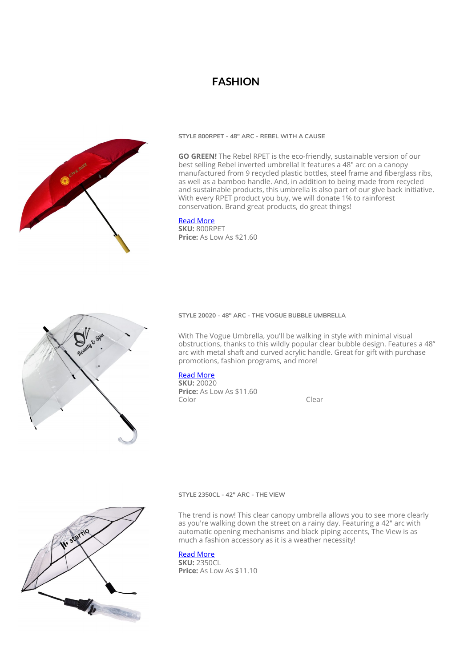# **FASHION**



**STYLE 800RPET - 48″ ARC - REBEL WITH A CAUSE**

**GO GREEN!** The Rebel RPET is the eco-friendly, sustainable version of our best selling Rebel inverted umbrella! It features a 48" arc on a canopy manufactured from 9 recycled plastic bottles, steel frame and fiberglass ribs, as well as a bamboo handle. And, in addition to being made from recycled and sustainable products, this umbrella is also part of our give back initiative. With every RPET product you buy, we will donate 1% to rainforest conservation. Brand great products, do great things!

#### [Read More](https://www.peerlessumbrella.com/product/style-800rpet/?utm_source=file&utm_medium=PDF&utm_campaign=fashion&utm_term=Style+800RPET+-+48%E2%80%B3+arc+-+Rebel+With+a+Cause)

**SKU:** 800RPET **Price:** As Low As \$21.60



### **STYLE 20020 - 48" ARC - THE VOGUE BUBBLE UMBRELLA**

With The Vogue Umbrella, you'll be walking in style with minimal visual obstructions, thanks to this wildly popular clear bubble design. Features a 48" arc with metal shaft and curved acrylic handle. Great for gift with purchase promotions, fashion programs, and more!

### [Read More](https://www.peerlessumbrella.com/product/style-20020/?utm_source=file&utm_medium=PDF&utm_campaign=fashion&utm_term=Style+20020+-+48%22+arc+-+The+Vogue+Bubble+Umbrella)

**SKU:** 20020 **Price:** As Low As \$11.60 Color Clear



#### **STYLE 2350CL - 42" ARC - THE VIEW**

The trend is now! This clear canopy umbrella allows you to see more clearly as you're walking down the street on a rainy day. Featuring a 42" arc with automatic opening mechanisms and black piping accents, The View is as much a fashion accessory as it is a weather necessity!

### [Read More](https://www.peerlessumbrella.com/product/style-2351cl/?utm_source=file&utm_medium=PDF&utm_campaign=fashion&utm_term=Style+2350CL+-+42%22+arc+-+The+View)

**SKU:** 2350CL **Price:** As Low As \$11.10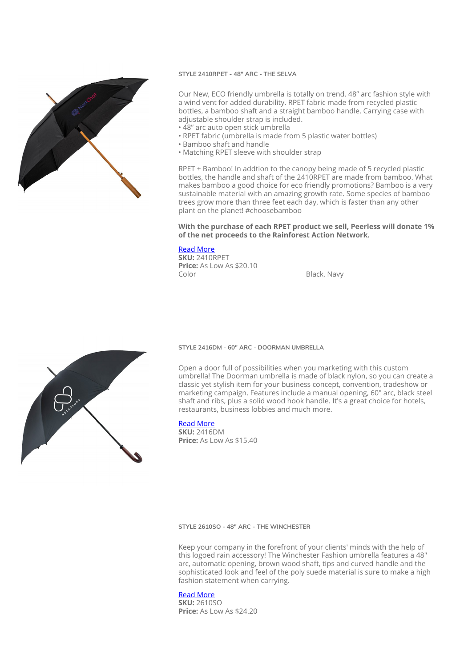

#### **STYLE 2410RPET - 48" ARC - THE SELVA**

Our New, ECO friendly umbrella is totally on trend. 48" arc fashion style with a wind vent for added durability. RPET fabric made from recycled plastic bottles, a bamboo shaft and a straight bamboo handle. Carrying case with adjustable shoulder strap is included.

- 48" arc auto open stick umbrella
- RPET fabric (umbrella is made from 5 plastic water bottles)
- Bamboo shaft and handle
- Matching RPET sleeve with shoulder strap

RPET + Bamboo! In addtion to the canopy being made of 5 recycled plastic bottles, the handle and shaft of the 2410RPET are made from bamboo. What makes bamboo a good choice for eco friendly promotions? Bamboo is a very sustainable material with an amazing growth rate. Some species of bamboo trees grow more than three feet each day, which is faster than any other plant on the planet! #choosebamboo

### **With the purchase of each RPET product we sell, Peerless will donate 1% of the net proceeds to the Rainforest Action Network.**

## [Read More](https://www.peerlessumbrella.com/product/style-2410rpet/?utm_source=file&utm_medium=PDF&utm_campaign=fashion&utm_term=Style+2410RPET+-+48%22+arc+-+The+Selva)

**SKU:** 2410RPET **Price:** As Low As \$20.10<br>Color

Black, Navy

#### **STYLE 2416DM - 60″ ARC - DOORMAN UMBRELLA**

Open a door full of possibilities when you marketing with this custom umbrella! The Doorman umbrella is made of black nylon, so you can create a classic yet stylish item for your business concept, convention, tradeshow or marketing campaign. Features include a manual opening, 60" arc, black steel shaft and ribs, plus a solid wood hook handle. It's a great choice for hotels, restaurants, business lobbies and much more.

#### [Read More](https://www.peerlessumbrella.com/product/style-2416dm/?utm_source=file&utm_medium=PDF&utm_campaign=fashion&utm_term=Style+2416DM+-+60%E2%80%B3+arc+-+Doorman+Umbrella)

**SKU:** 2416DM **Price:** As Low As \$15.40

**STYLE 2610SO - 48″ ARC - THE WINCHESTER**

Keep your company in the forefront of your clients' minds with the help of this logoed rain accessory! The Winchester Fashion umbrella features a 48" arc, automatic opening, brown wood shaft, tips and curved handle and the sophisticated look and feel of the poly suede material is sure to make a high fashion statement when carrying.

### [Read More](https://www.peerlessumbrella.com/product/style-2610so/?utm_source=file&utm_medium=PDF&utm_campaign=fashion&utm_term=Style+2610SO+-+48%E2%80%B3+arc+-+The+Winchester)

**SKU:** 2610SO **Price:** As Low As \$24.20

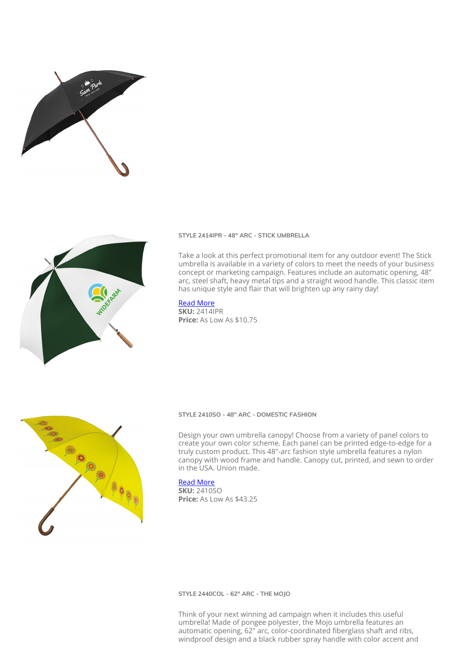



**STYLE 2414IPR - 48″ ARC - STICK UMBRELLA**

Take a look at this perfect promotional item for any outdoor event! The Stick umbrella is available in a variety of colors to meet the needs of your business concept or marketing campaign. Features include an automatic opening, 48" arc, steel shaft, heavy metal tips and a straight wood handle. This classic item has unique style and flair that will brighten up any rainy day!

#### [Read More](https://www.peerlessumbrella.com/product/style-2414ipr/?utm_source=file&utm_medium=PDF&utm_campaign=fashion&utm_term=Style+2414IPR+-+48%E2%80%B3+arc+-+Stick+Umbrella)

**SKU:** 2414IPR **Price:** As Low As \$10.75



#### **STYLE 2410SO - 48″ ARC - DOMESTIC FASHION**

Design your own umbrella canopy! Choose from a variety of panel colors to create your own color scheme. Each panel can be printed edge-to-edge for a truly custom product. This 48"-arc fashion style umbrella features a nylon canopy with wood frame and handle. Canopy cut, printed, and sewn to order in the USA. Union made.

### [Read More](https://www.peerlessumbrella.com/product/style-2410so/?utm_source=file&utm_medium=PDF&utm_campaign=fashion&utm_term=Style+2410SO+-+48%E2%80%B3+arc+-+Domestic+Fashion)

**SKU:** 2410SO **Price:** As Low As \$43.25

#### **STYLE 2440COL - 62″ ARC - THE MOJO**

Think of your next winning ad campaign when it includes this useful umbrella! Made of pongee polyester, the Mojo umbrella features an automatic opening, 62" arc, color-coordinated fiberglass shaft and ribs, windproof design and a black rubber spray handle with color accent and